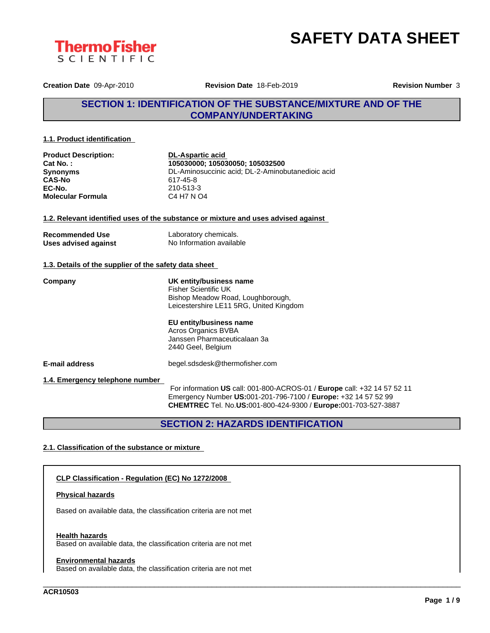



**Creation Date** 09-Apr-2010 **Revision Date** 18-Feb-2019 **Revision Number** 3

## **SECTION 1: IDENTIFICATION OF THE SUBSTANCE/MIXTURE AND OF THE COMPANY/UNDERTAKING**

#### **1.1. Product identification**

| <b>Product Description:</b><br>Cat No.:               | <b>DL-Aspartic acid</b><br>105030000; 105030050; 105032500                                                                                                                                                          |
|-------------------------------------------------------|---------------------------------------------------------------------------------------------------------------------------------------------------------------------------------------------------------------------|
| <b>Synonyms</b>                                       | DL-Aminosuccinic acid; DL-2-Aminobutanedioic acid                                                                                                                                                                   |
| <b>CAS-No</b>                                         | 617-45-8                                                                                                                                                                                                            |
| EC-No.                                                | 210-513-3                                                                                                                                                                                                           |
| <b>Molecular Formula</b>                              | C4 H7 N O4                                                                                                                                                                                                          |
|                                                       | 1.2. Relevant identified uses of the substance or mixture and uses advised against                                                                                                                                  |
| <b>Recommended Use</b>                                | Laboratory chemicals.                                                                                                                                                                                               |
| Uses advised against                                  | No Information available                                                                                                                                                                                            |
| 1.3. Details of the supplier of the safety data sheet |                                                                                                                                                                                                                     |
| Company                                               | UK entity/business name<br><b>Fisher Scientific UK</b><br>Bishop Meadow Road, Loughborough,<br>Leicestershire LE11 5RG, United Kingdom                                                                              |
|                                                       | EU entity/business name<br>Acros Organics BVBA<br>Janssen Pharmaceuticalaan 3a<br>2440 Geel, Belgium                                                                                                                |
| E-mail address                                        | begel.sdsdesk@thermofisher.com                                                                                                                                                                                      |
| 1.4. Emergency telephone number                       | For information US call: 001-800-ACROS-01 / Europe call: +32 14 57 52 11<br>Emergency Number US:001-201-796-7100 / Europe: +32 14 57 52 99<br><b>CHEMTREC</b> Tel. No.US:001-800-424-9300 / Europe:001-703-527-3887 |

## **SECTION 2: HAZARDS IDENTIFICATION**

\_\_\_\_\_\_\_\_\_\_\_\_\_\_\_\_\_\_\_\_\_\_\_\_\_\_\_\_\_\_\_\_\_\_\_\_\_\_\_\_\_\_\_\_\_\_\_\_\_\_\_\_\_\_\_\_\_\_\_\_\_\_\_\_\_\_\_\_\_\_\_\_\_\_\_\_\_\_\_\_\_\_\_\_\_\_\_\_\_\_\_\_\_\_

#### **2.1. Classification of the substance or mixture**

#### **CLP Classification - Regulation (EC) No 1272/2008**

#### **Physical hazards**

Based on available data, the classification criteria are not met

#### **Health hazards**

Based on available data, the classification criteria are not met

#### **Environmental hazards**

Based on available data, the classification criteria are not met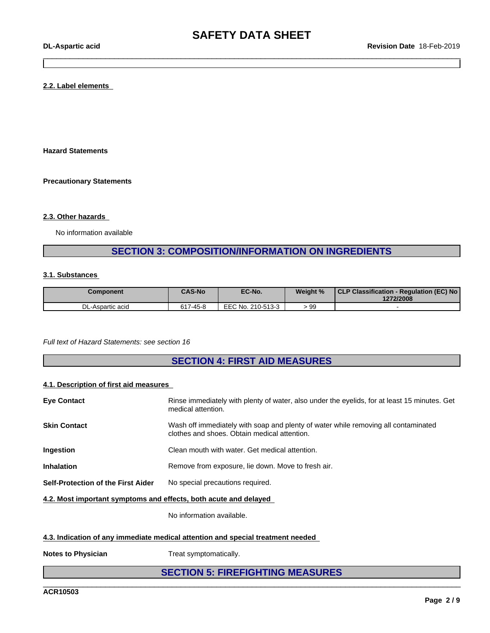#### **2.2. Label elements**

**Hazard Statements**

**Precautionary Statements**

#### **2.3. Other hazards**

No information available

## **SECTION 3: COMPOSITION/INFORMATION ON INGREDIENTS**

#### **3.1. Substances**

| Component              | <b>CAS-No</b>        | EC-No.                 | Weight % | l CLP Classification -<br>- Regulation (EC) No<br>1272/2008 |
|------------------------|----------------------|------------------------|----------|-------------------------------------------------------------|
| יח<br>DL-Aspartic acid | 7-45-8<br><b>CA7</b> | EEC No.<br>. 210-513-3 | 99       |                                                             |

*Full text of Hazard Statements: see section 16*

## **SECTION 4: FIRST AID MEASURES**

#### **4.1. Description of first aid measures**

| <b>Eye Contact</b>                                               | Rinse immediately with plenty of water, also under the eyelids, for at least 15 minutes. Get<br>medical attention.                 |
|------------------------------------------------------------------|------------------------------------------------------------------------------------------------------------------------------------|
| <b>Skin Contact</b>                                              | Wash off immediately with soap and plenty of water while removing all contaminated<br>clothes and shoes. Obtain medical attention. |
| Ingestion                                                        | Clean mouth with water. Get medical attention.                                                                                     |
| <b>Inhalation</b>                                                | Remove from exposure, lie down. Move to fresh air.                                                                                 |
| Self-Protection of the First Aider                               | No special precautions required.                                                                                                   |
| 4.2. Most important symptoms and effects, both acute and delayed |                                                                                                                                    |

No information available.

#### **4.3. Indication of any immediate medical attention and special treatment needed**

**Notes to Physician** Treat symptomatically.

## **SECTION 5: FIREFIGHTING MEASURES**

\_\_\_\_\_\_\_\_\_\_\_\_\_\_\_\_\_\_\_\_\_\_\_\_\_\_\_\_\_\_\_\_\_\_\_\_\_\_\_\_\_\_\_\_\_\_\_\_\_\_\_\_\_\_\_\_\_\_\_\_\_\_\_\_\_\_\_\_\_\_\_\_\_\_\_\_\_\_\_\_\_\_\_\_\_\_\_\_\_\_\_\_\_\_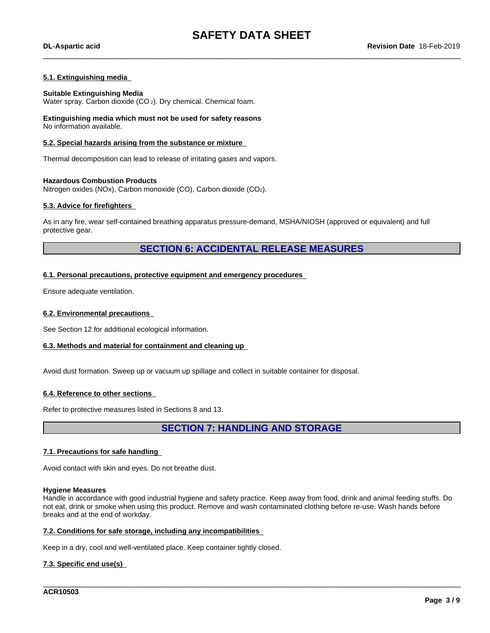#### **5.1. Extinguishing media**

#### **Suitable Extinguishing Media**

Water spray. Carbon dioxide (CO<sub>2</sub>). Dry chemical. Chemical foam.

#### **Extinguishing media which must not be used for safety reasons** No information available.

#### **5.2. Special hazards arising from the substance or mixture**

Thermal decomposition can lead to release of irritating gases and vapors.

#### **Hazardous Combustion Products**

Nitrogen oxides (NOx), Carbon monoxide (CO), Carbon dioxide (CO2).

#### **5.3. Advice for firefighters**

As in any fire, wear self-contained breathing apparatus pressure-demand, MSHA/NIOSH (approved or equivalent) and full protective gear.

### **SECTION 6: ACCIDENTAL RELEASE MEASURES**

#### **6.1. Personal precautions, protective equipment and emergency procedures**

Ensure adequate ventilation.

#### **6.2. Environmental precautions**

See Section 12 for additional ecological information.

#### **6.3. Methods and material for containment and cleaning up**

Avoid dust formation. Sweep up or vacuum up spillage and collect in suitable container for disposal.

#### **6.4. Reference to other sections**

Refer to protective measures listed in Sections 8 and 13.

**SECTION 7: HANDLING AND STORAGE**

#### **7.1. Precautions for safe handling**

Avoid contact with skin and eyes. Do not breathe dust.

#### **Hygiene Measures**

Handle in accordance with good industrial hygiene and safety practice. Keep away from food, drink and animal feeding stuffs. Do not eat, drink or smoke when using this product. Remove and wash contaminated clothing before re-use. Wash hands before breaks and at the end of workday.

\_\_\_\_\_\_\_\_\_\_\_\_\_\_\_\_\_\_\_\_\_\_\_\_\_\_\_\_\_\_\_\_\_\_\_\_\_\_\_\_\_\_\_\_\_\_\_\_\_\_\_\_\_\_\_\_\_\_\_\_\_\_\_\_\_\_\_\_\_\_\_\_\_\_\_\_\_\_\_\_\_\_\_\_\_\_\_\_\_\_\_\_\_\_

#### **7.2. Conditions for safe storage, including any incompatibilities**

Keep in a dry, cool and well-ventilated place. Keep container tightly closed.

#### **7.3. Specific end use(s)**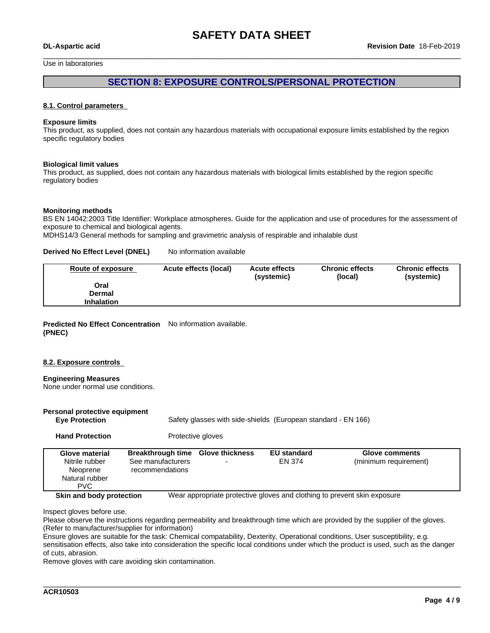## **SAFETY DATA SHEET**

Use in laboratories

### **SECTION 8: EXPOSURE CONTROLS/PERSONAL PROTECTION**

#### **8.1. Control parameters**

#### **Exposure limits**

This product, as supplied, does not contain any hazardous materials with occupational exposure limits established by the region specific regulatory bodies

#### **Biological limit values**

This product, as supplied, does not contain any hazardous materials with biological limits established by the region specific regulatory bodies

#### **Monitoring methods**

BS EN 14042:2003 Title Identifier: Workplace atmospheres. Guide for the application and use of procedures for the assessment of exposure to chemical and biological agents.

MDHS14/3 General methods for sampling and gravimetric analysis of respirable and inhalable dust

#### **Derived No Effect Level (DNEL)** No information available

| Oral              | <b>Chronic effects</b><br>(systemic) |
|-------------------|--------------------------------------|
|                   |                                      |
| Dermal            |                                      |
| <b>Inhalation</b> |                                      |

#### **Predicted No Effect Concentration** No information available. **(PNEC)**

#### **8.2. Exposure controls**

#### **Engineering Measures**

None under normal use conditions.

| Personal protective equipment<br><b>Eye Protection</b>                 |                                                                           | Safety glasses with side-shields (European standard - EN 166) |                              |                                                                          |
|------------------------------------------------------------------------|---------------------------------------------------------------------------|---------------------------------------------------------------|------------------------------|--------------------------------------------------------------------------|
| <b>Hand Protection</b>                                                 | Protective gloves                                                         |                                                               |                              |                                                                          |
| Glove material<br>Nitrile rubber<br>Neoprene<br>Natural rubber<br>PVC. | Breakthrough time Glove thickness<br>See manufacturers<br>recommendations |                                                               | <b>EU</b> standard<br>EN 374 | Glove comments<br>(minimum requirement)                                  |
| Skin and body protection                                               |                                                                           |                                                               |                              | Wear appropriate protective gloves and clothing to prevent skin exposure |

Inspect gloves before use.

Please observe the instructions regarding permeability and breakthrough time which are provided by the supplier of the gloves. (Refer to manufacturer/supplier for information)

Ensure gloves are suitable for the task: Chemical compatability, Dexterity, Operational conditions, User susceptibility, e.g. sensitisation effects, also take into consideration the specific local conditions under which the product is used, such as the danger of cuts, abrasion.

\_\_\_\_\_\_\_\_\_\_\_\_\_\_\_\_\_\_\_\_\_\_\_\_\_\_\_\_\_\_\_\_\_\_\_\_\_\_\_\_\_\_\_\_\_\_\_\_\_\_\_\_\_\_\_\_\_\_\_\_\_\_\_\_\_\_\_\_\_\_\_\_\_\_\_\_\_\_\_\_\_\_\_\_\_\_\_\_\_\_\_\_\_\_

Remove gloves with care avoiding skin contamination.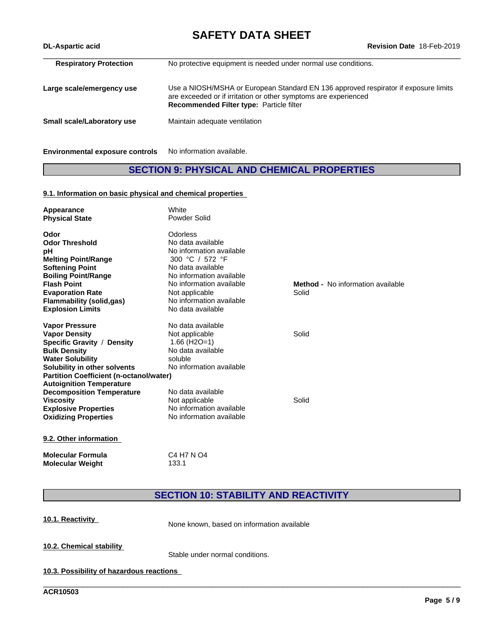# **SAFETY DATA SHEET**<br>Revision Date 18-Feb-2019

| <b>DL-Aspartic acid</b>       | Revision Date 18-Feb-2019                                                                                                                                                                                 |  |  |  |  |  |  |
|-------------------------------|-----------------------------------------------------------------------------------------------------------------------------------------------------------------------------------------------------------|--|--|--|--|--|--|
| <b>Respiratory Protection</b> | No protective equipment is needed under normal use conditions.                                                                                                                                            |  |  |  |  |  |  |
| Large scale/emergency use     | Use a NIOSH/MSHA or European Standard EN 136 approved respirator if exposure limits<br>are exceeded or if irritation or other symptoms are experienced<br><b>Recommended Filter type: Particle filter</b> |  |  |  |  |  |  |
| Small scale/Laboratory use    | Maintain adequate ventilation                                                                                                                                                                             |  |  |  |  |  |  |
|                               |                                                                                                                                                                                                           |  |  |  |  |  |  |

**Environmental exposure controls** No information available.

## **SECTION 9: PHYSICAL AND CHEMICAL PROPERTIES**

#### **9.1. Information on basic physical and chemical properties**

| Appearance<br><b>Physical State</b>            | White<br>Powder Solid       |                                          |  |
|------------------------------------------------|-----------------------------|------------------------------------------|--|
| Odor                                           | Odorless                    |                                          |  |
| <b>Odor Threshold</b>                          | No data available           |                                          |  |
| рH                                             | No information available    |                                          |  |
| <b>Melting Point/Range</b>                     | 300 °C / 572 °F             |                                          |  |
| <b>Softening Point</b>                         | No data available           |                                          |  |
| <b>Boiling Point/Range</b>                     | No information available    |                                          |  |
| <b>Flash Point</b>                             | No information available    | <b>Method -</b> No information available |  |
| <b>Evaporation Rate</b>                        | Not applicable              | Solid                                    |  |
| <b>Flammability (solid,gas)</b>                | No information available    |                                          |  |
| <b>Explosion Limits</b>                        | No data available           |                                          |  |
| <b>Vapor Pressure</b>                          | No data available           |                                          |  |
| <b>Vapor Density</b>                           | Not applicable              | Solid                                    |  |
| Specific Gravity / Density                     | $1.66$ (H <sub>2</sub> O=1) |                                          |  |
| <b>Bulk Density</b>                            | No data available           |                                          |  |
| <b>Water Solubility</b>                        | soluble                     |                                          |  |
| Solubility in other solvents                   | No information available    |                                          |  |
| <b>Partition Coefficient (n-octanol/water)</b> |                             |                                          |  |
| <b>Autoignition Temperature</b>                |                             |                                          |  |
| <b>Decomposition Temperature</b>               | No data available           |                                          |  |
| <b>Viscosity</b>                               | Not applicable              | Solid                                    |  |
| <b>Explosive Properties</b>                    | No information available    |                                          |  |
| <b>Oxidizing Properties</b>                    | No information available    |                                          |  |
| 9.2. Other information                         |                             |                                          |  |
| <b>Molecular Formula</b>                       | C4 H7 N O4                  |                                          |  |
| <b>Molecular Weight</b>                        | 133.1                       |                                          |  |

## **SECTION 10: STABILITY AND REACTIVITY**

\_\_\_\_\_\_\_\_\_\_\_\_\_\_\_\_\_\_\_\_\_\_\_\_\_\_\_\_\_\_\_\_\_\_\_\_\_\_\_\_\_\_\_\_\_\_\_\_\_\_\_\_\_\_\_\_\_\_\_\_\_\_\_\_\_\_\_\_\_\_\_\_\_\_\_\_\_\_\_\_\_\_\_\_\_\_\_\_\_\_\_\_\_\_

**10.1. Reactivity** None known, based on information available

**10.2. Chemical stability**

Stable under normal conditions.

**10.3. Possibility of hazardous reactions**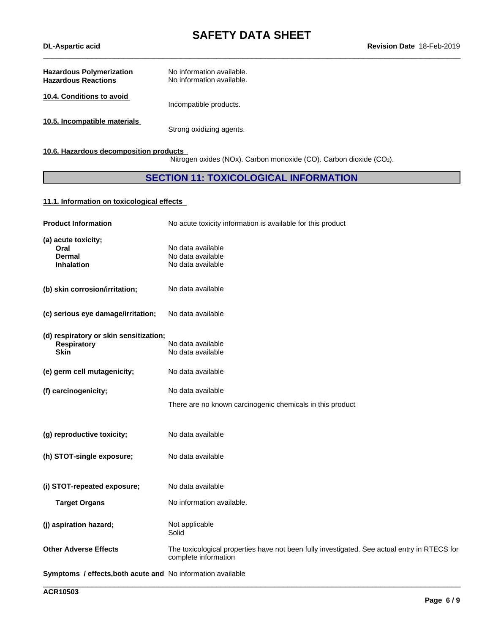# **SAFETY DATA SHEET**<br>Revision Date 18-Feb-2019

| <b>Hazardous Polymerization</b><br><b>Hazardous Reactions</b> | No information available.<br>No information available. |
|---------------------------------------------------------------|--------------------------------------------------------|
| 10.4. Conditions to avoid                                     | Incompatible products.                                 |
| 10.5. Incompatible materials                                  | Strong oxidizing agents.                               |

#### **10.6. Hazardous decomposition products**

Nitrogen oxides (NOx). Carbon monoxide (CO). Carbon dioxide (CO2).

## **SECTION 11: TOXICOLOGICAL INFORMATION**

#### **11.1. Information on toxicologicaleffects**

| <b>Product Information</b>                                                  | No acute toxicity information is available for this product                                                          |
|-----------------------------------------------------------------------------|----------------------------------------------------------------------------------------------------------------------|
| (a) acute toxicity;<br>Oral<br>Dermal<br><b>Inhalation</b>                  | No data available<br>No data available<br>No data available                                                          |
| (b) skin corrosion/irritation;                                              | No data available                                                                                                    |
| (c) serious eye damage/irritation;                                          | No data available                                                                                                    |
| (d) respiratory or skin sensitization;<br><b>Respiratory</b><br><b>Skin</b> | No data available<br>No data available                                                                               |
| (e) germ cell mutagenicity;                                                 | No data available                                                                                                    |
| (f) carcinogenicity;                                                        | No data available                                                                                                    |
|                                                                             | There are no known carcinogenic chemicals in this product                                                            |
| (g) reproductive toxicity;                                                  | No data available                                                                                                    |
| (h) STOT-single exposure;                                                   | No data available                                                                                                    |
| (i) STOT-repeated exposure;                                                 | No data available                                                                                                    |
| <b>Target Organs</b>                                                        | No information available.                                                                                            |
| (j) aspiration hazard;                                                      | Not applicable<br>Solid                                                                                              |
| <b>Other Adverse Effects</b>                                                | The toxicological properties have not been fully investigated. See actual entry in RTECS for<br>complete information |
| Symptoms / effects, both acute and No information available                 |                                                                                                                      |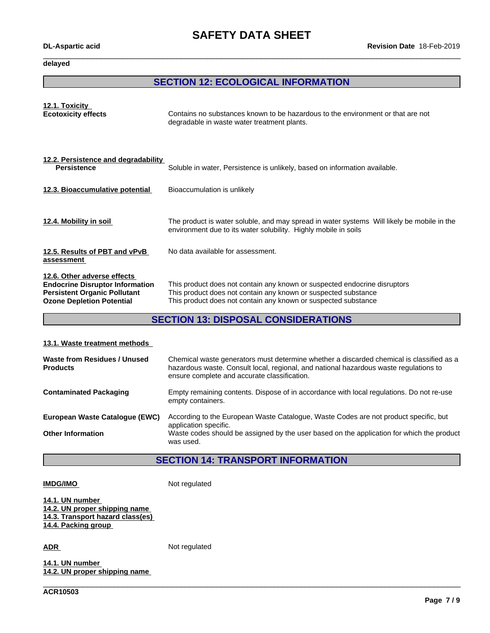# **SAFETY DATA SHEET**<br>Revision Date 18-Feb-2019

**delayed**

#### **SECTION 12: ECOLOGICAL INFORMATION**

| Contains no substances known to be hazardous to the environment or that are not<br>degradable in waste water treatment plants.                                                                                |
|---------------------------------------------------------------------------------------------------------------------------------------------------------------------------------------------------------------|
| Soluble in water, Persistence is unlikely, based on information available.                                                                                                                                    |
| Bioaccumulation is unlikely                                                                                                                                                                                   |
| The product is water soluble, and may spread in water systems Will likely be mobile in the<br>environment due to its water solubility. Highly mobile in soils                                                 |
| No data available for assessment.                                                                                                                                                                             |
| This product does not contain any known or suspected endocrine disruptors<br>This product does not contain any known or suspected substance<br>This product does not contain any known or suspected substance |
|                                                                                                                                                                                                               |

## **SECTION 13: DISPOSAL CONSIDERATIONS**

#### **13.1. Waste treatment methods**

| Waste from Residues / Unused<br><b>Products</b> | Chemical waste generators must determine whether a discarded chemical is classified as a<br>hazardous waste. Consult local, regional, and national hazardous waste regulations to<br>ensure complete and accurate classification. |
|-------------------------------------------------|-----------------------------------------------------------------------------------------------------------------------------------------------------------------------------------------------------------------------------------|
| <b>Contaminated Packaging</b>                   | Empty remaining contents. Dispose of in accordance with local regulations. Do not re-use<br>empty containers.                                                                                                                     |
| European Waste Catalogue (EWC)                  | According to the European Waste Catalogue, Waste Codes are not product specific, but<br>application specific.                                                                                                                     |
| <b>Other Information</b>                        | Waste codes should be assigned by the user based on the application for which the product<br>was used.                                                                                                                            |

## **SECTION 14: TRANSPORT INFORMATION**

\_\_\_\_\_\_\_\_\_\_\_\_\_\_\_\_\_\_\_\_\_\_\_\_\_\_\_\_\_\_\_\_\_\_\_\_\_\_\_\_\_\_\_\_\_\_\_\_\_\_\_\_\_\_\_\_\_\_\_\_\_\_\_\_\_\_\_\_\_\_\_\_\_\_\_\_\_\_\_\_\_\_\_\_\_\_\_\_\_\_\_\_\_\_

**IMDG/IMO** Not regulated

**14.1. UN number 14.2. UN proper shipping name 14.3. Transport hazard class(es) 14.4. Packing group**

ADR Not regulated

**14.1. UN number 14.2. UN proper shipping name**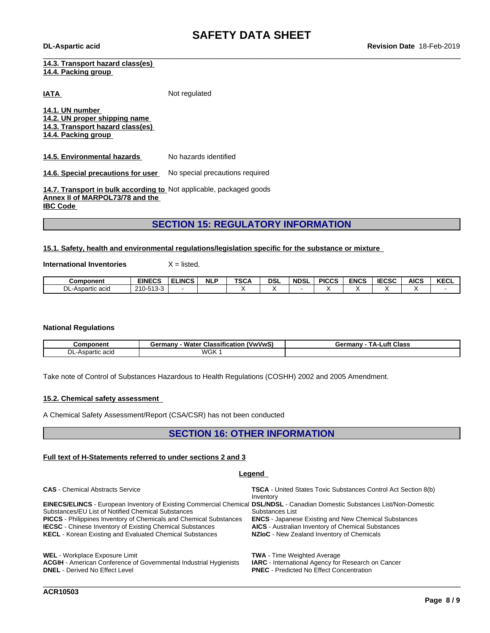**14.3. Transport hazard class(es) 14.4. Packing group**

**IATA** Not regulated

**14.1. UN number 14.2. UN proper shipping name 14.3. Transport hazard class(es) 14.4. Packing group**

**14.5. Environmental hazards** No hazards identified

**14.6. Special precautions for user** No special precautions required

**14.7. Transport in bulk according to** Not applicable, packaged goods **Annex II of MARPOL73/78 and the IBC Code** 

## **SECTION 15: REGULATORY INFORMATION**

#### **15.1. Safety, health and environmental regulations/legislation specific for the substance or mixture**

**International Inventories** X = listed.

| Component        | <b>EINECS</b>     | :LINCS | <b>NLP</b> | <b>TSCA</b> | <b>DSL</b> | <b>NDSL</b> | <b>PICCS</b> | <b>ENCS</b> | <b>IECSC</b> | <b>AICS</b> | <b>KECL</b> |
|------------------|-------------------|--------|------------|-------------|------------|-------------|--------------|-------------|--------------|-------------|-------------|
| DL-Aspartic acid | $0.10 \times 100$ |        |            |             |            |             |              |             |              |             |             |

#### **National Regulations**

| Component                            | <br><br>(VwVwS,<br>ermanvث<br>Classification<br>Water | Class<br>⊥uft -<br>ГΔ-<br>ermanvث |
|--------------------------------------|-------------------------------------------------------|-----------------------------------|
| DL<br>$\sim$<br>nartiu<br>–∆er<br>dü | <b>WGK</b>                                            |                                   |

Take note of Control of Substances Hazardous to Health Regulations (COSHH) 2002 and 2005 Amendment.

#### **15.2. Chemical safety assessment**

A Chemical Safety Assessment/Report (CSA/CSR) has not been conducted

### **SECTION 16: OTHER INFORMATION**

#### **Full text of H-Statements referred to undersections 2 and 3**

#### **Legend**

**CAS** - Chemical Abstracts Service **TSCA** - United States Toxic Substances Control Act Section 8(b) Inventory **EINECS/ELINCS** - European Inventory of Existing Commercial Chemical **DSL/NDSL** - Canadian Domestic Substances List/Non-Domestic Substances/EU List of Notified Chemical Substances<br> **PICCS** - Philippines Inventory of Chemicals and Chemical Substances<br> **ENCS** - Japanese Existing and New Chemical Substances Substances List **PICCS** - Philippines Inventory of Chemicals and Chemical Substances **ENCS** - Japanese Existing and New Chemical Substances<br>**IECSC** - Chinese Inventory of Existing Chemical Substances **AICS** - Australian Inventory of Chemi **IECSC** - Chinese Inventory of Existing Chemical Substances **KECL** - Korean Existing and Evaluated Chemical Substances **NZIoC** - New Zealand Inventory of Chemicals WEL - Workplace Exposure Limit **Conferential Industrial Hygienists TWA - Time Weighted Average**<br>**ACGIH** - American Conference of Governmental Industrial Hygienists **IARC** - International Agency for Research on Cancer

**ACGIH** - American Conference of Governmental Industrial Hygienists **DNEL** - Derived No Effect Level

**PNEC** - Predicted No Effect Concentration

\_\_\_\_\_\_\_\_\_\_\_\_\_\_\_\_\_\_\_\_\_\_\_\_\_\_\_\_\_\_\_\_\_\_\_\_\_\_\_\_\_\_\_\_\_\_\_\_\_\_\_\_\_\_\_\_\_\_\_\_\_\_\_\_\_\_\_\_\_\_\_\_\_\_\_\_\_\_\_\_\_\_\_\_\_\_\_\_\_\_\_\_\_\_